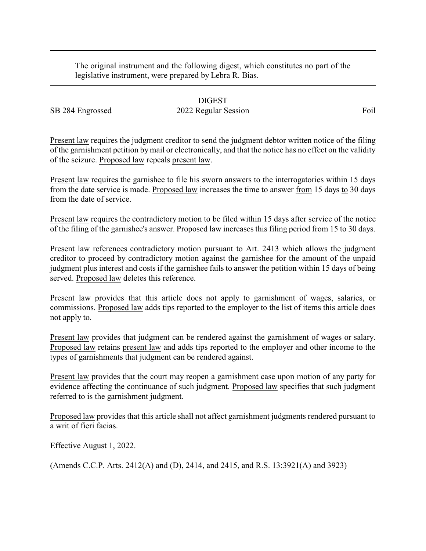The original instrument and the following digest, which constitutes no part of the legislative instrument, were prepared by Lebra R. Bias.

## DIGEST SB 284 Engrossed 2022 Regular Session Foil

Present law requires the judgment creditor to send the judgment debtor written notice of the filing of the garnishment petition bymail or electronically, and that the notice has no effect on the validity of the seizure. Proposed law repeals present law.

Present law requires the garnishee to file his sworn answers to the interrogatories within 15 days from the date service is made. Proposed law increases the time to answer from 15 days to 30 days from the date of service.

Present law requires the contradictory motion to be filed within 15 days after service of the notice of the filing of the garnishee's answer. Proposed law increases this filing period from 15 to 30 days.

Present law references contradictory motion pursuant to Art. 2413 which allows the judgment creditor to proceed by contradictory motion against the garnishee for the amount of the unpaid judgment plus interest and costs if the garnishee fails to answer the petition within 15 days of being served. Proposed law deletes this reference.

Present law provides that this article does not apply to garnishment of wages, salaries, or commissions. Proposed law adds tips reported to the employer to the list of items this article does not apply to.

Present law provides that judgment can be rendered against the garnishment of wages or salary. Proposed law retains present law and adds tips reported to the employer and other income to the types of garnishments that judgment can be rendered against.

Present law provides that the court may reopen a garnishment case upon motion of any party for evidence affecting the continuance of such judgment. Proposed law specifies that such judgment referred to is the garnishment judgment.

Proposed law provides that this article shall not affect garnishment judgments rendered pursuant to a writ of fieri facias.

Effective August 1, 2022.

(Amends C.C.P. Arts. 2412(A) and (D), 2414, and 2415, and R.S. 13:3921(A) and 3923)